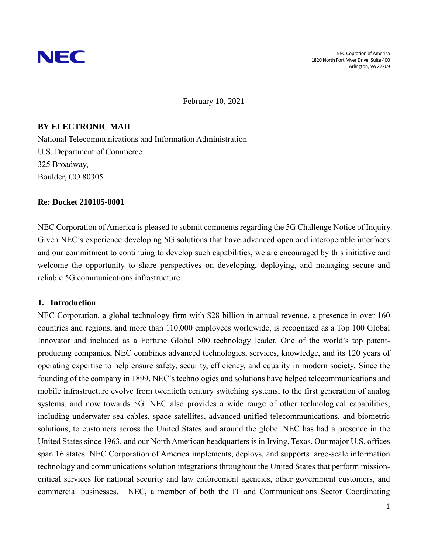

February 10, 2021

# **BY ELECTRONIC MAIL**

National Telecommunications and Information Administration U.S. Department of Commerce 325 Broadway, Boulder, CO 80305

## **Re: Docket 210105-0001**

NEC Corporation of America is pleased to submit comments regarding the 5G Challenge Notice of Inquiry. Given NEC's experience developing 5G solutions that have advanced open and interoperable interfaces and our commitment to continuing to develop such capabilities, we are encouraged by this initiative and welcome the opportunity to share perspectives on developing, deploying, and managing secure and reliable 5G communications infrastructure.

## **1. Introduction**

NEC Corporation, a global technology firm with \$28 billion in annual revenue, a presence in over 160 countries and regions, and more than 110,000 employees worldwide, is recognized as a Top 100 Global Innovator and included as a Fortune Global 500 technology leader. One of the world's top patentproducing companies, NEC combines advanced technologies, services, knowledge, and its 120 years of operating expertise to help ensure safety, security, efficiency, and equality in modern society. Since the founding of the company in 1899, NEC's technologies and solutions have helped telecommunications and mobile infrastructure evolve from twentieth century switching systems, to the first generation of analog systems, and now towards 5G. NEC also provides a wide range of other technological capabilities, including underwater sea cables, space satellites, advanced unified telecommunications, and biometric solutions, to customers across the United States and around the globe. NEC has had a presence in the United States since 1963, and our North American headquarters is in Irving, Texas. Our major U.S. offices span 16 states. NEC Corporation of America implements, deploys, and supports large-scale information technology and communications solution integrations throughout the United States that perform missioncritical services for national security and law enforcement agencies, other government customers, and commercial businesses. NEC, a member of both the IT and Communications Sector Coordinating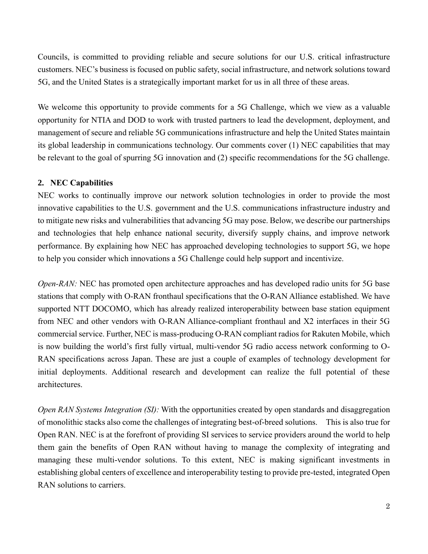Councils, is committed to providing reliable and secure solutions for our U.S. critical infrastructure customers. NEC's business is focused on public safety, social infrastructure, and network solutions toward 5G, and the United States is a strategically important market for us in all three of these areas.

We welcome this opportunity to provide comments for a 5G Challenge, which we view as a valuable opportunity for NTIA and DOD to work with trusted partners to lead the development, deployment, and management of secure and reliable 5G communications infrastructure and help the United States maintain its global leadership in communications technology. Our comments cover (1) NEC capabilities that may be relevant to the goal of spurring 5G innovation and (2) specific recommendations for the 5G challenge.

## **2. NEC Capabilities**

NEC works to continually improve our network solution technologies in order to provide the most innovative capabilities to the U.S. government and the U.S. communications infrastructure industry and to mitigate new risks and vulnerabilities that advancing 5G may pose. Below, we describe our partnerships and technologies that help enhance national security, diversify supply chains, and improve network performance. By explaining how NEC has approached developing technologies to support 5G, we hope to help you consider which innovations a 5G Challenge could help support and incentivize.

*Open-RAN:* NEC has promoted open architecture approaches and has developed radio units for 5G base stations that comply with O-RAN fronthaul specifications that the O-RAN Alliance established. We have supported NTT DOCOMO, which has already realized interoperability between base station equipment from NEC and other vendors with O-RAN Alliance-compliant fronthaul and X2 interfaces in their 5G commercial service. Further, NEC is mass-producing O-RAN compliant radios for Rakuten Mobile, which is now building the world's first fully virtual, multi-vendor 5G radio access network conforming to O-RAN specifications across Japan. These are just a couple of examples of technology development for initial deployments. Additional research and development can realize the full potential of these architectures.

*Open RAN Systems Integration (SI):* With the opportunities created by open standards and disaggregation of monolithic stacks also come the challenges of integrating best-of-breed solutions. This is also true for Open RAN. NEC is at the forefront of providing SI services to service providers around the world to help them gain the benefits of Open RAN without having to manage the complexity of integrating and managing these multi-vendor solutions. To this extent, NEC is making significant investments in establishing global centers of excellence and interoperability testing to provide pre-tested, integrated Open RAN solutions to carriers.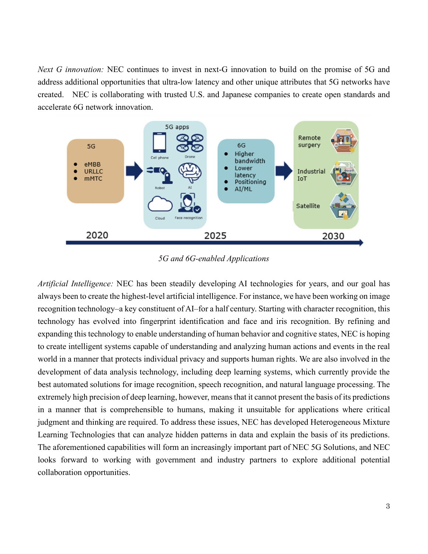*Next G innovation:* NEC continues to invest in next-G innovation to build on the promise of 5G and address additional opportunities that ultra-low latency and other unique attributes that 5G networks have created. NEC is collaborating with trusted U.S. and Japanese companies to create open standards and accelerate 6G network innovation.



*5G and 6G-enabled Applications* 

*Artificial Intelligence:* NEC has been steadily developing AI technologies for years, and our goal has always been to create the highest-level artificial intelligence. For instance, we have been working on image recognition technology–a key constituent of AI–for a half century. Starting with character recognition, this technology has evolved into fingerprint identification and face and iris recognition. By refining and expanding this technology to enable understanding of human behavior and cognitive states, NEC is hoping to create intelligent systems capable of understanding and analyzing human actions and events in the real world in a manner that protects individual privacy and supports human rights. We are also involved in the development of data analysis technology, including deep learning systems, which currently provide the best automated solutions for image recognition, speech recognition, and natural language processing. The extremely high precision of deep learning, however, means that it cannot present the basis of its predictions in a manner that is comprehensible to humans, making it unsuitable for applications where critical judgment and thinking are required. To address these issues, NEC has developed Heterogeneous Mixture Learning Technologies that can analyze hidden patterns in data and explain the basis of its predictions. The aforementioned capabilities will form an increasingly important part of NEC 5G Solutions, and NEC looks forward to working with government and industry partners to explore additional potential collaboration opportunities.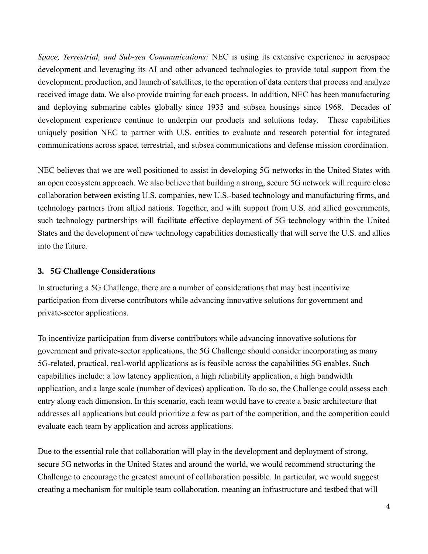*Space, Terrestrial, and Sub-sea Communications:* NEC is using its extensive experience in aerospace development and leveraging its AI and other advanced technologies to provide total support from the development, production, and launch of satellites, to the operation of data centers that process and analyze received image data. We also provide training for each process. In addition, NEC has been manufacturing and deploying submarine cables globally since 1935 and subsea housings since 1968. Decades of development experience continue to underpin our products and solutions today. These capabilities uniquely position NEC to partner with U.S. entities to evaluate and research potential for integrated communications across space, terrestrial, and subsea communications and defense mission coordination.

NEC believes that we are well positioned to assist in developing 5G networks in the United States with an open ecosystem approach. We also believe that building a strong, secure 5G network will require close collaboration between existing U.S. companies, new U.S.-based technology and manufacturing firms, and technology partners from allied nations. Together, and with support from U.S. and allied governments, such technology partnerships will facilitate effective deployment of 5G technology within the United States and the development of new technology capabilities domestically that will serve the U.S. and allies into the future.

### **3. 5G Challenge Considerations**

In structuring a 5G Challenge, there are a number of considerations that may best incentivize participation from diverse contributors while advancing innovative solutions for government and private-sector applications.

To incentivize participation from diverse contributors while advancing innovative solutions for government and private-sector applications, the 5G Challenge should consider incorporating as many 5G-related, practical, real-world applications as is feasible across the capabilities 5G enables. Such capabilities include: a low latency application, a high reliability application, a high bandwidth application, and a large scale (number of devices) application. To do so, the Challenge could assess each entry along each dimension. In this scenario, each team would have to create a basic architecture that addresses all applications but could prioritize a few as part of the competition, and the competition could evaluate each team by application and across applications.

Due to the essential role that collaboration will play in the development and deployment of strong, secure 5G networks in the United States and around the world, we would recommend structuring the Challenge to encourage the greatest amount of collaboration possible. In particular, we would suggest creating a mechanism for multiple team collaboration, meaning an infrastructure and testbed that will